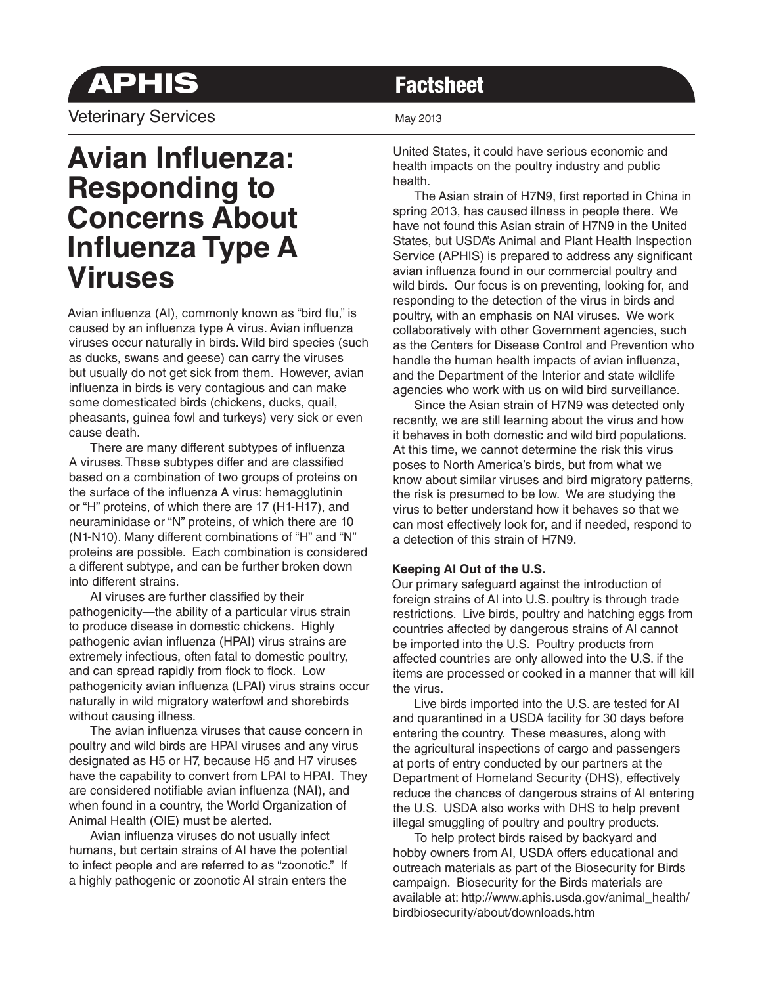# **APHIS Factsheet**

Veterinary Services May 2013

## **Avian Influenza: Responding to Concerns About Influenza Type A Viruses**

Avian influenza (AI), commonly known as "bird flu," is caused by an influenza type A virus. Avian influenza viruses occur naturally in birds. Wild bird species (such as ducks, swans and geese) can carry the viruses but usually do not get sick from them. However, avian influenza in birds is very contagious and can make some domesticated birds (chickens, ducks, quail, pheasants, guinea fowl and turkeys) very sick or even cause death.

There are many different subtypes of influenza A viruses. These subtypes differ and are classified based on a combination of two groups of proteins on the surface of the influenza A virus: hemagglutinin or "H" proteins, of which there are 17 (H1-H17), and neuraminidase or "N" proteins, of which there are 10 (N1-N10). Many different combinations of "H" and "N" proteins are possible. Each combination is considered a different subtype, and can be further broken down into different strains.

AI viruses are further classified by their pathogenicity—the ability of a particular virus strain to produce disease in domestic chickens. Highly pathogenic avian influenza (HPAI) virus strains are extremely infectious, often fatal to domestic poultry, and can spread rapidly from flock to flock. Low pathogenicity avian influenza (LPAI) virus strains occur naturally in wild migratory waterfowl and shorebirds without causing illness.

The avian influenza viruses that cause concern in poultry and wild birds are HPAI viruses and any virus designated as H5 or H7, because H5 and H7 viruses have the capability to convert from LPAI to HPAI. They are considered notifiable avian influenza (NAI), and when found in a country, the World Organization of Animal Health (OIE) must be alerted.

Avian influenza viruses do not usually infect humans, but certain strains of AI have the potential to infect people and are referred to as "zoonotic." If a highly pathogenic or zoonotic AI strain enters the

United States, it could have serious economic and health impacts on the poultry industry and public health.

The Asian strain of H7N9, first reported in China in spring 2013, has caused illness in people there. We have not found this Asian strain of H7N9 in the United States, but USDA's Animal and Plant Health Inspection Service (APHIS) is prepared to address any significant avian influenza found in our commercial poultry and wild birds. Our focus is on preventing, looking for, and responding to the detection of the virus in birds and poultry, with an emphasis on NAI viruses. We work collaboratively with other Government agencies, such as the Centers for Disease Control and Prevention who handle the human health impacts of avian influenza, and the Department of the Interior and state wildlife agencies who work with us on wild bird surveillance.

 Since the Asian strain of H7N9 was detected only recently, we are still learning about the virus and how it behaves in both domestic and wild bird populations. At this time, we cannot determine the risk this virus poses to North America's birds, but from what we know about similar viruses and bird migratory patterns, the risk is presumed to be low. We are studying the virus to better understand how it behaves so that we can most effectively look for, and if needed, respond to a detection of this strain of H7N9.

### **Keeping AI Out of the U.S.**

Our primary safeguard against the introduction of foreign strains of AI into U.S. poultry is through trade restrictions. Live birds, poultry and hatching eggs from countries affected by dangerous strains of AI cannot be imported into the U.S. Poultry products from affected countries are only allowed into the U.S. if the items are processed or cooked in a manner that will kill the virus.

 Live birds imported into the U.S. are tested for AI and quarantined in a USDA facility for 30 days before entering the country. These measures, along with the agricultural inspections of cargo and passengers at ports of entry conducted by our partners at the Department of Homeland Security (DHS), effectively reduce the chances of dangerous strains of AI entering the U.S. USDA also works with DHS to help prevent illegal smuggling of poultry and poultry products.

 To help protect birds raised by backyard and hobby owners from AI, USDA offers educational and outreach materials as part of the Biosecurity for Birds campaign. Biosecurity for the Birds materials are available at: http://www.aphis.usda.gov/animal\_health/ birdbiosecurity/about/downloads.htm